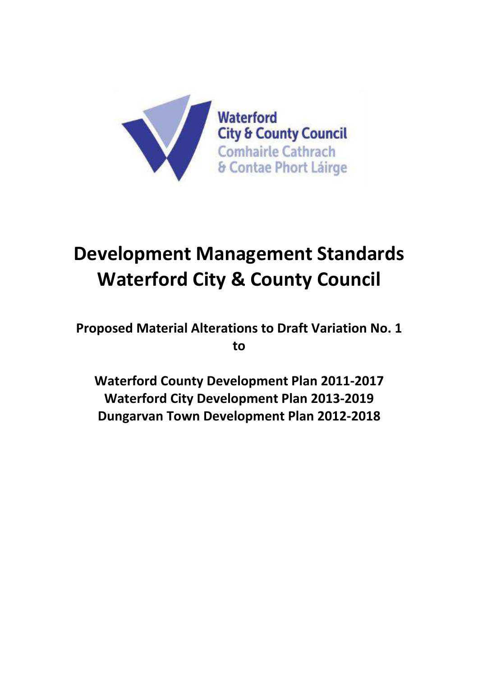

# **Development Management Standards Waterford City & County Council**

# **Proposed Material Alterations to Draft Variation No. 1 to**

**Waterford County Development Plan 2011-2017 Waterford City Development Plan 2013-2019 Dungarvan Town Development Plan 2012-2018**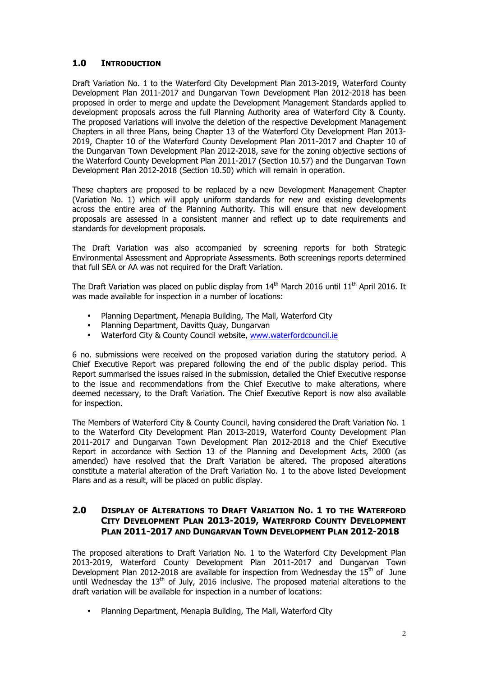# **1.0 INTRODUCTION**

Draft Variation No. 1 to the Waterford City Development Plan 2013-2019, Waterford County Development Plan 2011-2017 and Dungarvan Town Development Plan 2012-2018 has been proposed in order to merge and update the Development Management Standards applied to development proposals across the full Planning Authority area of Waterford City & County. The proposed Variations will involve the deletion of the respective Development Management Chapters in all three Plans, being Chapter 13 of the Waterford City Development Plan 2013- 2019, Chapter 10 of the Waterford County Development Plan 2011-2017 and Chapter 10 of the Dungarvan Town Development Plan 2012-2018, save for the zoning objective sections of the Waterford County Development Plan 2011-2017 (Section 10.57) and the Dungarvan Town Development Plan 2012-2018 (Section 10.50) which will remain in operation.

These chapters are proposed to be replaced by a new Development Management Chapter (Variation No. 1) which will apply uniform standards for new and existing developments across the entire area of the Planning Authority. This will ensure that new development proposals are assessed in a consistent manner and reflect up to date requirements and standards for development proposals.

The Draft Variation was also accompanied by screening reports for both Strategic Environmental Assessment and Appropriate Assessments. Both screenings reports determined that full SEA or AA was not required for the Draft Variation.

The Draft Variation was placed on public display from 14<sup>th</sup> March 2016 until 11<sup>th</sup> April 2016. It was made available for inspection in a number of locations:

- Planning Department, Menapia Building, The Mall, Waterford City
- Planning Department, Davitts Quay, Dungarvan
- Waterford City & County Council website, www.waterfordcouncil.ie

6 no. submissions were received on the proposed variation during the statutory period. A Chief Executive Report was prepared following the end of the public display period. This Report summarised the issues raised in the submission, detailed the Chief Executive response to the issue and recommendations from the Chief Executive to make alterations, where deemed necessary, to the Draft Variation. The Chief Executive Report is now also available for inspection.

The Members of Waterford City & County Council, having considered the Draft Variation No. 1 to the Waterford City Development Plan 2013-2019, Waterford County Development Plan 2011-2017 and Dungarvan Town Development Plan 2012-2018 and the Chief Executive Report in accordance with Section 13 of the Planning and Development Acts, 2000 (as amended) have resolved that the Draft Variation be altered. The proposed alterations constitute a material alteration of the Draft Variation No. 1 to the above listed Development Plans and as a result, will be placed on public display.

# **2.0 DISPLAY OF ALTERATIONS TO DRAFT VARIATION NO. 1 TO THE WATERFORD CITY DEVELOPMENT PLAN 2013-2019, WATERFORD COUNTY DEVELOPMENT PLAN 2011-2017 AND DUNGARVAN TOWN DEVELOPMENT PLAN 2012-2018**

The proposed alterations to Draft Variation No. 1 to the Waterford City Development Plan 2013-2019, Waterford County Development Plan 2011-2017 and Dungarvan Town Development Plan 2012-2018 are available for inspection from Wednesday the  $15<sup>th</sup>$  of June until Wednesday the  $13<sup>th</sup>$  of July, 2016 inclusive. The proposed material alterations to the draft variation will be available for inspection in a number of locations:

• Planning Department, Menapia Building, The Mall, Waterford City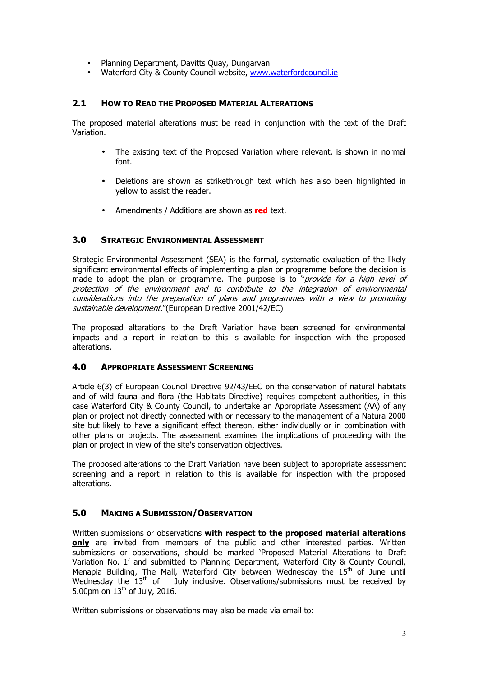- Planning Department, Davitts Quay, Dungarvan
- Waterford City & County Council website, www.waterfordcouncil.ie

# **2.1 HOW TO READ THE PROPOSED MATERIAL ALTERATIONS**

The proposed material alterations must be read in conjunction with the text of the Draft Variation.

- The existing text of the Proposed Variation where relevant, is shown in normal font.
- Deletions are shown as strikethrough text which has also been highlighted in yellow to assist the reader.
- Amendments / Additions are shown as **red** text.

# **3.0 STRATEGIC ENVIRONMENTAL ASSESSMENT**

Strategic Environmental Assessment (SEA) is the formal, systematic evaluation of the likely significant environmental effects of implementing a plan or programme before the decision is made to adopt the plan or programme. The purpose is to "provide for a high level of protection of the environment and to contribute to the integration of environmental considerations into the preparation of plans and programmes with a view to promoting sustainable development."(European Directive 2001/42/EC)

The proposed alterations to the Draft Variation have been screened for environmental impacts and a report in relation to this is available for inspection with the proposed alterations.

## **4.0 APPROPRIATE ASSESSMENT SCREENING**

Article 6(3) of European Council Directive 92/43/EEC on the conservation of natural habitats and of wild fauna and flora (the Habitats Directive) requires competent authorities, in this case Waterford City & County Council, to undertake an Appropriate Assessment (AA) of any plan or project not directly connected with or necessary to the management of a Natura 2000 site but likely to have a significant effect thereon, either individually or in combination with other plans or projects. The assessment examines the implications of proceeding with the plan or project in view of the site's conservation objectives.

The proposed alterations to the Draft Variation have been subject to appropriate assessment screening and a report in relation to this is available for inspection with the proposed alterations.

# **5.0 MAKING A SUBMISSION/OBSERVATION**

Written submissions or observations **with respect to the proposed material alterations only** are invited from members of the public and other interested parties. Written submissions or observations, should be marked 'Proposed Material Alterations to Draft Variation No. 1' and submitted to Planning Department, Waterford City & County Council, Menapia Building, The Mall, Waterford City between Wednesday the 15<sup>th</sup> of June until Wednesday the  $13<sup>th</sup>$  of July inclusive. Observations/submissions must be received by 5.00pm on  $13<sup>th</sup>$  of July, 2016.

Written submissions or observations may also be made via email to: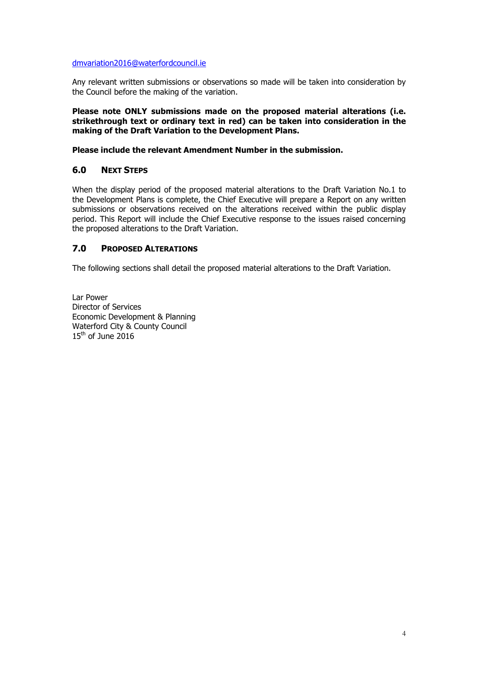dmvariation2016@waterfordcouncil.ie

Any relevant written submissions or observations so made will be taken into consideration by the Council before the making of the variation.

**Please note ONLY submissions made on the proposed material alterations (i.e. strikethrough text or ordinary text in red) can be taken into consideration in the making of the Draft Variation to the Development Plans.** 

#### **Please include the relevant Amendment Number in the submission.**

# **6.0 NEXT STEPS**

When the display period of the proposed material alterations to the Draft Variation No.1 to the Development Plans is complete, the Chief Executive will prepare a Report on any written submissions or observations received on the alterations received within the public display period. This Report will include the Chief Executive response to the issues raised concerning the proposed alterations to the Draft Variation.

# **7.0 PROPOSED ALTERATIONS**

The following sections shall detail the proposed material alterations to the Draft Variation.

Lar Power Director of Services Economic Development & Planning Waterford City & County Council  $15<sup>th</sup>$  of June 2016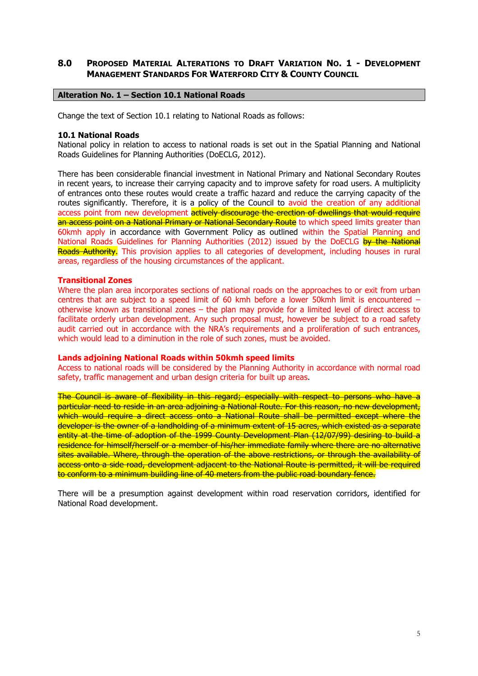# **8.0 PROPOSED MATERIAL ALTERATIONS TO DRAFT VARIATION NO. 1 - DEVELOPMENT MANAGEMENT STANDARDS FOR WATERFORD CITY & COUNTY COUNCIL**

#### **Alteration No. 1 – Section 10.1 National Roads**

Change the text of Section 10.1 relating to National Roads as follows:

#### **10.1 National Roads**

National policy in relation to access to national roads is set out in the Spatial Planning and National Roads Guidelines for Planning Authorities (DoECLG, 2012).

There has been considerable financial investment in National Primary and National Secondary Routes in recent years, to increase their carrying capacity and to improve safety for road users. A multiplicity of entrances onto these routes would create a traffic hazard and reduce the carrying capacity of the routes significantly. Therefore, it is a policy of the Council to avoid the creation of any additional access point from new development actively discourage the erection of dwellings that would require an access point on a National Primary or National Secondary Route to which speed limits greater than 60kmh apply in accordance with Government Policy as outlined within the Spatial Planning and National Roads Guidelines for Planning Authorities (2012) issued by the DoECLG by the National Roads Authority. This provision applies to all categories of development, including houses in rural areas, regardless of the housing circumstances of the applicant.

#### **Transitional Zones**

Where the plan area incorporates sections of national roads on the approaches to or exit from urban centres that are subject to a speed limit of 60 kmh before a lower 50kmh limit is encountered – otherwise known as transitional zones – the plan may provide for a limited level of direct access to facilitate orderly urban development. Any such proposal must, however be subject to a road safety audit carried out in accordance with the NRA's requirements and a proliferation of such entrances, which would lead to a diminution in the role of such zones, must be avoided.

#### **Lands adjoining National Roads within 50kmh speed limits**

Access to national roads will be considered by the Planning Authority in accordance with normal road safety, traffic management and urban design criteria for built up areas.

The Council is aware of flexibility in this regard; especially with respect to persons who have a particular need to reside in an area adjoining a National Route. For this reason, no new development, which would require a direct access onto a National Route shall be permitted except where the developer is the owner of a landholding of a minimum extent of 15 acres, which existed as a separate entity at the time of adoption of the 1999 County Development Plan (12/07/99) desiring to build a residence for himself/herself or a member of his/her immediate family where there are no alternative sites available. Where, through the operation of the above restrictions, or through the availability of access onto a side road, development adjacent to the National Route is permitted, it will be required to conform to a minimum building line of 40 meters from the public road boundary fence.

There will be a presumption against development within road reservation corridors, identified for National Road development.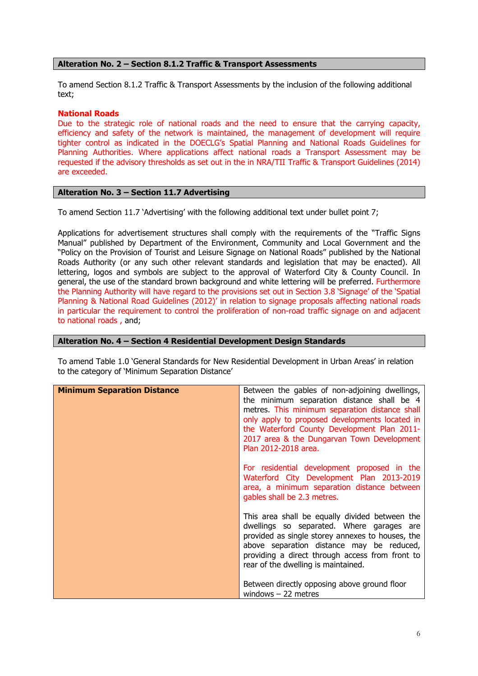#### **Alteration No. 2 – Section 8.1.2 Traffic & Transport Assessments**

To amend Section 8.1.2 Traffic & Transport Assessments by the inclusion of the following additional text;

#### **National Roads**

Due to the strategic role of national roads and the need to ensure that the carrying capacity, efficiency and safety of the network is maintained, the management of development will require tighter control as indicated in the DOECLG's Spatial Planning and National Roads Guidelines for Planning Authorities. Where applications affect national roads a Transport Assessment may be requested if the advisory thresholds as set out in the in NRA/TII Traffic & Transport Guidelines (2014) are exceeded.

#### **Alteration No. 3 – Section 11.7 Advertising**

To amend Section 11.7 'Advertising' with the following additional text under bullet point 7;

Applications for advertisement structures shall comply with the requirements of the "Traffic Signs Manual" published by Department of the Environment, Community and Local Government and the "Policy on the Provision of Tourist and Leisure Signage on National Roads" published by the National Roads Authority (or any such other relevant standards and legislation that may be enacted). All lettering, logos and symbols are subject to the approval of Waterford City & County Council. In general, the use of the standard brown background and white lettering will be preferred. Furthermore the Planning Authority will have regard to the provisions set out in Section 3.8 'Signage' of the 'Spatial Planning & National Road Guidelines (2012)' in relation to signage proposals affecting national roads in particular the requirement to control the proliferation of non-road traffic signage on and adjacent to national roads , and;

#### **Alteration No. 4 – Section 4 Residential Development Design Standards**

To amend Table 1.0 'General Standards for New Residential Development in Urban Areas' in relation to the category of 'Minimum Separation Distance'

| <b>Minimum Separation Distance</b> | Between the gables of non-adjoining dwellings,<br>the minimum separation distance shall be 4<br>metres. This minimum separation distance shall<br>only apply to proposed developments located in<br>the Waterford County Development Plan 2011-<br>2017 area & the Dungarvan Town Development<br>Plan 2012-2018 area. |
|------------------------------------|-----------------------------------------------------------------------------------------------------------------------------------------------------------------------------------------------------------------------------------------------------------------------------------------------------------------------|
|                                    | For residential development proposed in the<br>Waterford City Development Plan 2013-2019<br>area, a minimum separation distance between<br>gables shall be 2.3 metres.                                                                                                                                                |
|                                    | This area shall be equally divided between the<br>dwellings so separated. Where garages are<br>provided as single storey annexes to houses, the<br>above separation distance may be reduced,<br>providing a direct through access from front to<br>rear of the dwelling is maintained.                                |
|                                    | Between directly opposing above ground floor<br>windows $-22$ metres                                                                                                                                                                                                                                                  |